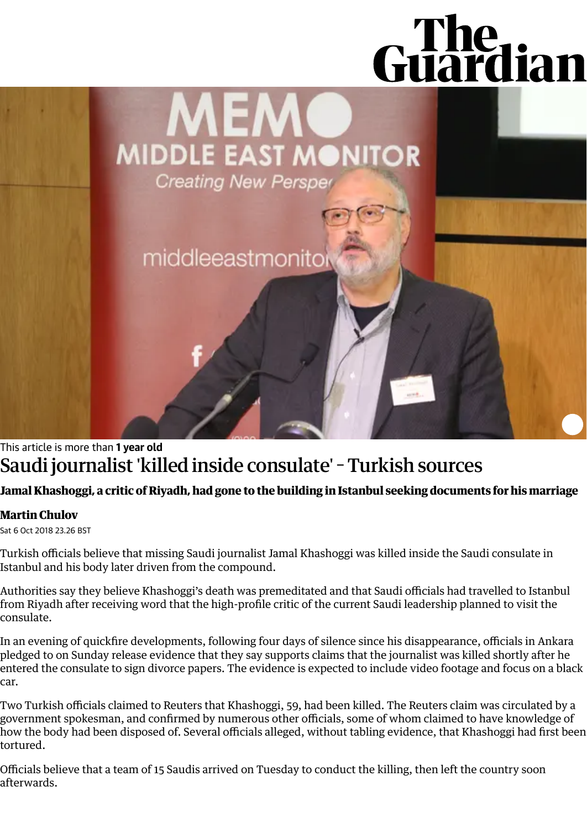# Guardian

**MEMC** MIDDLE EAST MONITOR **Creating New Persper** 

middleeastmonitol

# This article is more than **1 year old** Saudi journalist'killed inside consulate' Turkish sources

## Jamal Khashoggi, a critic of Riyadh, had gone to the building in Istanbul seeking documents for his marriage

### **Martin [Chulov](https://www.theguardian.com/profile/martin-chulov)**

Sat 6 Oct 2018 23.26 BST

Turkish officials believe that missing Saudi journalist Jamal [Khashoggi](https://www.theguardian.com/world/jamal-khashoggi) was killed inside the Saudi consulate in Istanbul and his body later driven from the compound.

Authorities say they believe Khashoggi's death was premeditated and that Saudi officials had travelled to Istanbul from Riyadh after receiving word that the high-profile critic of the current Saudi leadership planned to visit the consulate.

In an evening of quickfire developments, following four days of silence since his disappearance, officials in Ankara pledged to on Sunday release evidence that they say supports claims that the journalist was killed shortly after he entered the consulate to sign divorce papers. The evidence is expected to include video footage and focus on a black car.

Two Turkish officials claimed to Reuters that Khashoggi, 59, had been killed. The Reuters claim was circulated by a government spokesman, and confirmed by numerous other officials, some of whom claimed to have knowledge of how the body had been disposed of. Several officials alleged, without tabling evidence, that Khashoggi had first been tortured.

Officials believe that a team of 15 Saudis arrived on Tuesday to conduct the killing, then left the country soon afterwards.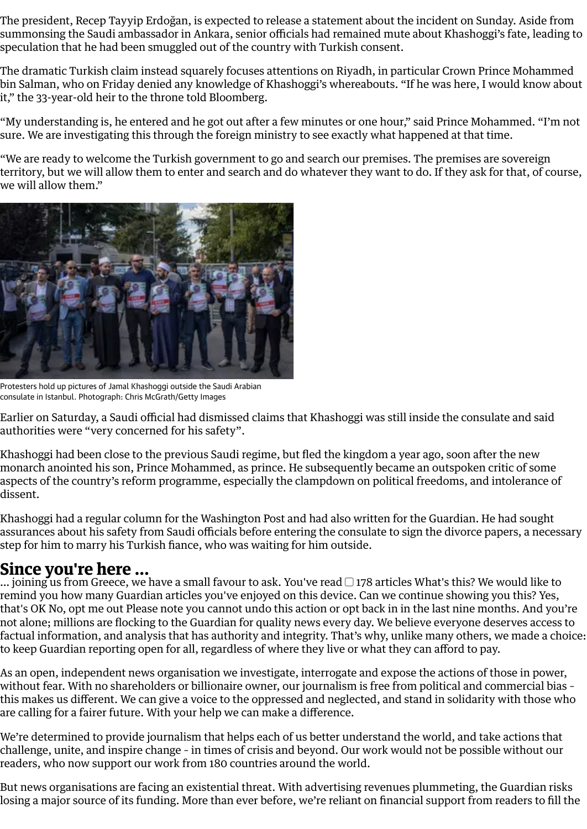The president, Recep Tayyip Erdoğan, is expected to release a statement about the incident on Sunday. Aside from summonsing the Saudi ambassador in Ankara, senior officials had remained mute about Khashoggi's fate, leading to speculation that he had been smuggled out of the country with Turkish consent.

The dramatic Turkish claim instead squarely focuses attentions on Riyadh, in particular Crown Prince Mohammed bin Salman, who on Friday denied any knowledge of Khashoggi's whereabouts. "If he was here, I would know about it," the 33-year-old heir to the throne told Bloomberg.

"My understanding is, he entered and he got out after a few minutes or one hour," said Prince Mohammed. "I'm not sure. We are investigating this through the foreign ministry to see exactly what happened at that time.

"We are ready to welcome the Turkish government to go and search our premises. The premises are sovereign territory, but we will allow them to enter and search and do whatever they want to do. If they ask for that, of course, we will allow them."



Protesters hold up pictures of Jamal Khashoggi outside the Saudi Arabian consulate in Istanbul. Photograph: Chris McGrath/Getty Images

Earlier on Saturday, a Saudi official had dismissed claims that Khashoggi was still inside the consulate and said authorities were "very concerned for his safety".

Khashoggi had been close to the previous Saudi regime, but fled the kingdom a year ago, soon after the new monarch anointed his son, Prince Mohammed, as prince. He subsequently became an outspoken critic of some aspects of the country's reform programme, especially the clampdown on political freedoms, and intolerance of dissent.

Khashoggi had a regular column for the Washington Post and had also written for the [Guardian](https://www.theguardian.com/world/commentisfree/2018/oct/05/the-guardian-view-on-jamal-khashoggi-the-missing-saudi-journalist-must-be-found). He had sought assurances about his safety from Saudi officials before entering the consulate to sign the divorce papers, a necessary step for him to marry his Turkish fiance, who was waiting for him outside.

### **Since you're here ...**

… joining us from Greece, we have a small favour to ask. You've read  $\Box$  178 articles What's this? We would like to remind you how many Guardian articles you've enjoyed on this device. Can we continue showing you this? Yes, that's OK No, opt me out Please note you cannot undo this action or opt back in in the last nine months. And you're not alone; millions are flocking to the Guardian for quality news every day. We believe everyone deserves access to factual information, and analysis that has authority and integrity. That's why, unlike many others, we made a choice: to keep Guardian reporting open for all, regardless of where they live or what they can afford to pay.

As an open, independent news organisation we investigate, interrogate and expose the actions of those in power, without fear. With no shareholders or billionaire owner, our journalism is free from political and commercial bias – this makes us different. We can give a voice to the oppressed and neglected, and stand in solidarity with those who are calling for a fairer future. With your help we can make a difference.

We're determined to provide journalism that helps each of us better understand the world, and take actions that challenge, unite, and inspire change – in times of crisis and beyond. Our work would not be possible without our readers, who now support our work from 180 countries around the world.

But news organisations are facing an existential threat. With advertising revenues plummeting, the Guardian risks losing a major source of its funding. More than ever before, we're reliant on financial support from readers to fill the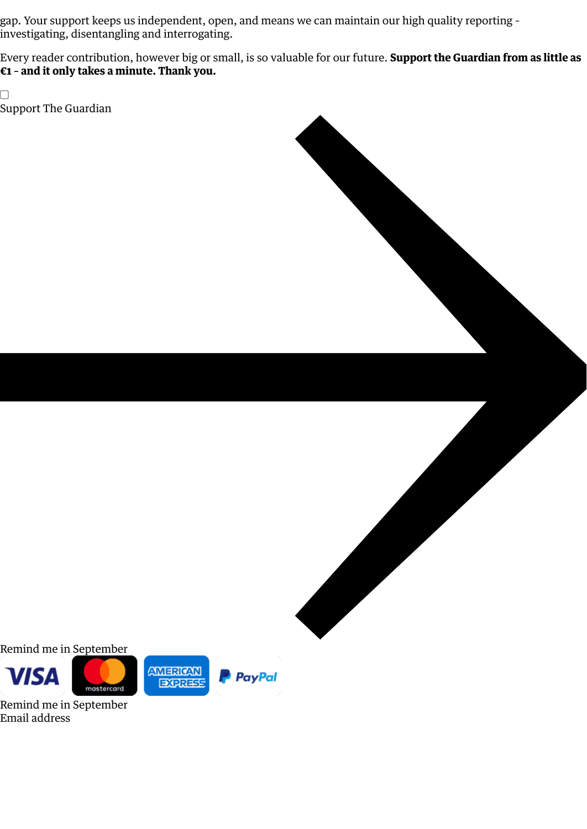gap. Your support keeps us independent, open, and means we can maintain our high quality reporting – investigating, disentangling and interrogating.

Every reader contribution, however big or small, is so valuable for our future. **Support the Guardian from as little as €1 – and it only takes a minute. Thank you.**

 $\Box$ Support The [Guardian](https://support.theguardian.com/eu/contribute?REFPVID=kcd1l5z0pa89amw6q19y&INTCMP=gdnwb_copts_memco_2020-30-06_EPIC_COUNTRY_NAME__WITH_ARTICLECOUNT_V2_JOINING&acquisitionData=%7B%22source%22%3A%22GUARDIAN_WEB%22%2C%22componentId%22%3A%22gdnwb_copts_memco_2020-30-06_EPIC_COUNTRY_NAME__WITH_ARTICLECOUNT_V2_JOINING%22%2C%22componentType%22%3A%22ACQUISITIONS_EPIC%22%2C%22campaignCode%22%3A%22gdnwb_copts_memco_2020-30-06_EPIC_COUNTRY_NAME__WITH_ARTICLECOUNT_V2_JOINING%22%2C%22abTest%22%3A%7B%22name%22%3A%222020-30-06_EPIC_COUNTRY_NAME__WITH_ARTICLECOUNT%22%2C%22variant%22%3A%22V2_JOINING%22%7D%2C%22referrerPageviewId%22%3A%22kcd1l5z0pa89amw6q19y%22%2C%22referrerUrl%22%3A%22https%3A%2F%2Fwww.theguardian.com%2Fworld%2F2018%2Foct%2F06%2Fsaudi-journalist-killed-inside-consulate-turkish-sources%22%7D)

Remind me in September







Remind me in September Email address